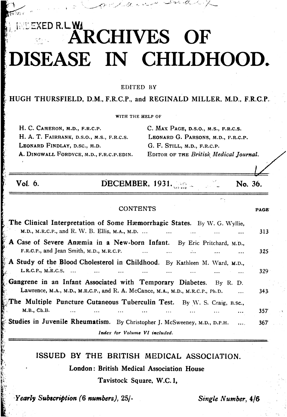# EXED R.L.W.<br>ARCHIVES OF :DISEASE IN CHILDHOOD.

 $t_{\rm F}$   $\sim$  EDITED BY

HUGH THURSFIELD, D.M., F.R.C.P., and REGINALD MILLER. M.D., F.R.C.P.

WITH THE HELP OF

H. C. CAMERON, M.D., F.R.C.P. C. MAX PAGE, D.S.O., M.S., F.R.C.S. H. A. T. FAIRBANK, D.S.O., M.S., F.R.C.S. LEONARD G. PARSONS, M.D., F.R.C.P. LEONARD FINDLAY, D.SC., M.D. G. F. STILL, M.D., F.R.C.P. A. DINGWALL FORDYCE, M.D., F.R.C.P.EDIN. EDITOR OF THE Britisk Medical Journal.

 $k \rightarrow \infty$  , we have the set of  $k$  -set  $k$  -for  $k$  -for  $k$  -for  $k$  -for  $k$  -for  $k$  -for  $k$  -for  $k$  -for  $k$ 

CONTENTS PAGE

| OI. | U<br>ι. |
|-----|---------|
|     |         |

r i

DECEMBER, 1931. **No. 36.** No. 36.

## The Clinical Interpretation of Some Hæmorrhagic States. By W. G. Wyllie, M.D., M.R.C.P., and R. W. B. Ellis, M.A., M.D. ... 313 A Case of Severe Anæmia in a New-born Infant. By Eric Pritchard, M.D., F.R.C.P., and Jean Smith, M.D., M.R.C.P. ... ... ... ... ... ... ... 325 A Study of the Blood Cholesterol in Childhood. By Kathleen M. Ward, M.D.,  $L.R.C.P., M.R.C.S.$  ... ... ... ... ... ... ... 329 Gangrene in an Infant Associated with Temporary Diabetes. By R. D. Lawrence, M.A., M.D., M.R.C.P., and R. A. McCance, M.A., M.D., M.R.C.P., Ph.D. 343 The Multiple Puncture Cutaneous Tuberculin Test. By W. S. Craig, B.sc., M.B., Ch.B. ....... ... ... ... ... ... 357- Studies in Juvenile Rheumatism. By Christopher J. McSweeney, M.D., D.P.H. ... 367 Index for Volume VI included.

### ISSUED BY THE BRITISH MEDICAL ASSOCIATION.

London: British Medical Association House

Tavistock Square, W.C. 1,

Yearly Subscription (6 numbers), 25/-<br>Single Number, 4/6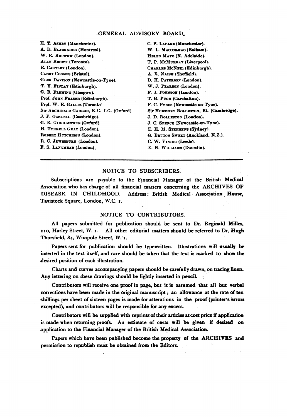#### -GENERAL ADVISORY BOARD.

H. T. ASHBY (Manchester). A. D. BLACKADER (Montreal). W. R. BRISTOW (London). ALAN BROWN (Toronto). E. CAUTLEY (London). **CAREY COOMES (Bristol).** GLEN DAVISON (Newcastle-on-Tyne). T. Y. FINLAY (Edinburgh). G. B. FLEMING (Glasgow). Prof. JOHN FRASER (Edinburgh). Prof. W. E. GALLIE (Toronto). Sir ABCHIBALD GARROD, K.C. I.G. (Oxford). J. F. GASKELL (Cambridge). G. R. GIRDLESTONE (Oxford). H. TYRRELL GRAY (London). ROBERT HUTCHISON (London). R. C. JEWESBURY (London). F. S. LANGMEAD (London).

C. P. LAPAGE (Manchester). W. L. MACCORMAC (Balham). HELEN MAYO (N. Adelaide). T. P. MCMURRAY (Liverpool). CHARLES MCNEIL (Edinburgh). A. E. NAISH (Sheffield). D. H. PATERSON (London). W. J. PEARSON (London). F. J. POTITON (London). T. G. PUGH (Carshalton). F. C. PYBUS (Newcastle-on-Tyne). Sir HUMPHRY ROLLESTON, Bt. (Cambridge). J. D. ROLLESTON (London). J. C. SPENCE (Newcastle-on-Tyne). E. H. M. STEPHENS (Sydney). G. BRUTON SWEET (Auckland, N.Z.). C. W. VINING (Leeds). E. H. WILLIAMS (Dunedin).

#### NOTICE TO SUBSCRIBERS.

Subscriptions are payable to the Financial Manager of the British Medical Association who has charge of all financial matters concerning the ARCHIVES OF DISEASE IN CHILDHOOD. Address: British Medical Association House, Tavisteck Square, London, W.C. 1.

#### NOTICE TO CONTRIBUTORS.

All papers submitted for publication should be sent to Dr. Reginald Miller, 110, Harley Street, W. I. All other editorial matters should be referred to Dr. Hugh Thursfield, 84, Wimpole Street, W. I.

Papers sent for publication should be typewritten. Illustrations will usually be inserted in the text itself, and care should be taken that the text is marked to show the desired position of each illustration.

Charts and curves accompanying papers should be carefully drawn, on tracing linen. Any lettering on these drawings should be lightly inserted in pencil.

Contributors will receive one proof in page, but it is assumed that all but verbal corrections have been made in the original manuscript; an allowance at the rate of ten shillings per sheet of sixteen pages is made for alterations in the proof (printer's errors excepted), and contributors will be responsible for any excess.

Contributors will be supplied with reprints of their articles at cost price if application is made when returning proofs. An estimate of costs will be given if desired on application to the Financial Manager of the British Medical Association.

Papers which have been published become the property of the ARCHIVES and permission to republish must be obtained from the Editors.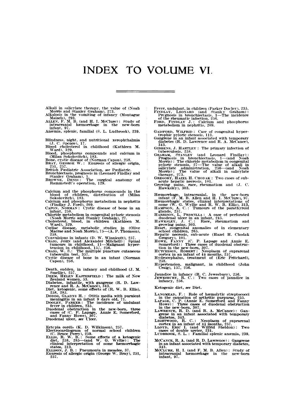# INDEX TO VOLUME VI.

Alkali in salicylate therapy, the value of (Noah Morris and Stanley Graham). 273.<br>Morris and Stanley Graham). 273.<br>Alkalosis in the vomiting of infancy (Montague Maizels). 293.<br>ALLEN, P. M. B. (and H. I. McClure): Study of

- 
- 

- Blindness, night, and nutritional xerophthalmia<br>
Blood cholesterol in childhood (Kathleen M. Ward), 329.<br>
Hood, phosphorus compounds and calcium in<br>
Ward), 329.<br>
Blood, phosphorus compounds and calcium in<br>
(Milan Sokolovit
- 
- 

- 257. 257.<br>British Pediatric Association, see Pediatric.<br>Bronchiectasis. prognosis in (Leonard Findlay and<br>Stanley Graham), 1.<br>BROWNE, DENIS: The surgical anatomy of<br>Rammstedt's operation, 129.
- 
- 
- 
- 
- 
- Calcium and the phosphorus compounds in the<br>blood of children, distribution of (Milan<br>Sckolovitch), 183.<br>Calcium and phosphorus metabolism in nephritis<br>Caroxy, Noravax : Cystic disease of bone in an<br>infant, 238.<br>Children
- 
- Convulsions in infants (D. W. Winnicott), 257.<br>Craste, Joux (and Alexander Mitchell) : Spinal<br>tumours in childhood, 11—Malignant hyper-<br>tension in childhood, 157, 256.<br>tension in childhood, 157, 256.<br>Craste disease of bon
- 
- 
- 
- 
- Death, sudden, in infancy and childhood (J. M. Smellie), 257. <br>DEEM, HELEN EASTERFIELD: The milk of New Zealand women, 53.<br>Distant mannels in the manner of the Diabetes, infantile, with gangrene (R. D. Lawrence and R. A. M
- 
- 

- 
- Ectopia cordis (K. D. Wilkinson), 257.<br>
Electrocardiogram of normal school children<br>
(C. Bruce Perry), 259.<br>
ELLIS, R. W. B.: Some effects of a ketogenic<br>
diet, 258, 285—(and W. G. Wyllie): The<br>
clinical interpretation of
- 
- Fever, undulant, in children (Parker Docley), 235.<br>Fryntary, LEONARD (and Stanley Graham):<br>Pregnosis in bronchiectasis, 1—The incidence<br>of the rheumatic infection, 256.<br>Fore, Fryntar J.: Calcium and phosphorus<br>metabolism i
- 
- GAISFORD, WILFRID: Case of congenital hyper-trophic pyloric stenosis. 111. Gangrene in an infant associated with temporary
- diabetes (R. D. Lawrence and R. A. McCance),<br>343.
- 
- 343.<br>
BB2. S. HARTLEY : The primary infection of<br>
tuberulosis, 253.<br>
GRBENS, 253.<br>
GRBENA, STANLEY (and Leonard Findlay):<br>
Prognosis in bronchiectasis, 1—(and Noah<br>
Morris): The choirde metabolism in congenital<br>
pyloric s
- 
- 
- 
- Hæmorhage, intraceranial, in the new-born<br>
mfant (F. M. B. Allen and H. I. McClure), 97.<br>
Hæmorrhagic states, clinical interpretations of<br>
HAMFSON, G. Wyllie and R. W. B. Ellis), 313.<br>
HAMFSON, A. C.: Tumours of the parath
- 
- 
- 
- 
- 
- 
- Hypertension, malignant, in childhood (John Craig), 157, 256.
- 
- Jaundice in infancy (R. C. Jewesbury), 256.<br>JEWESBURY, R. C.: Two cases of jaundice in<br>infancy, 256.

Ketogenic diet, see Diet.

- 
- 
- LANGMEAD, F.: Role of hemolytic streptococci<br>
In the causation of arthritic purpuras, 255.<br>
LAPAGE, C. P. (Annie E. Somerford and Panny<br>
Howe): Three cases of duodenal obstruction<br>
in the new-born, 307.<br>
LAWRENCE, R. D. (
- 
- 
- McCAN-CE, R. A. (and R. D. Lawrence): Gangrene<br>
in an infant associated with temporary diabetes,<br>
343.<br>
McCLURE, H. I. (and F. M. B. Allen): Study of<br>
intracranial hæmorrbage in the new-born
- infant, 97.